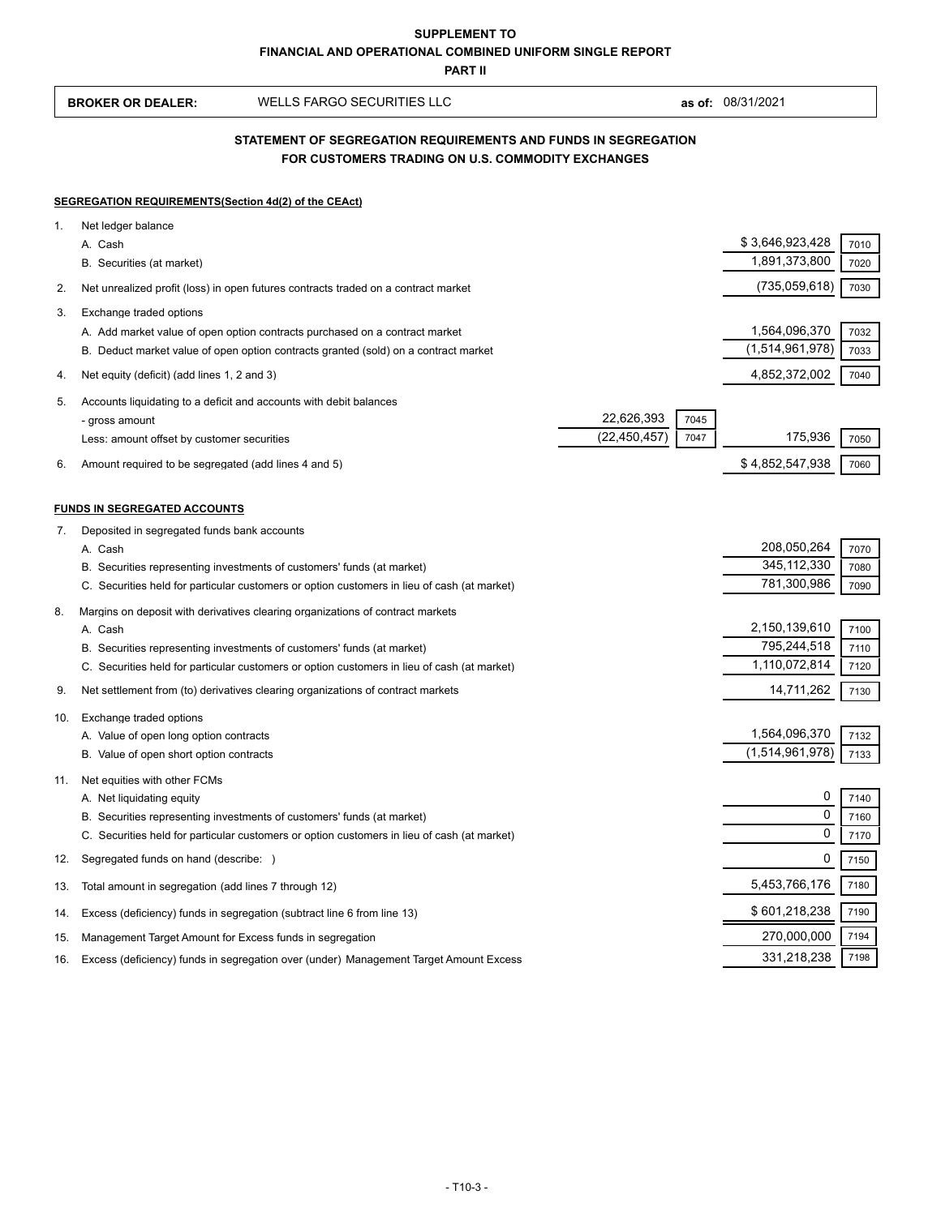**BROKER OR DEALER:** WELLS FARGO SECURITIES LLC **as of:** 08/31/2021

## **FOR CUSTOMERS TRADING ON U.S. COMMODITY EXCHANGES STATEMENT OF SEGREGATION REQUIREMENTS AND FUNDS IN SEGREGATION**

#### **SEGREGATION REQUIREMENTS(Section 4d(2) of the CEAct)**

| 1.  | Net ledger balance                                                                          |                |      |                              |              |
|-----|---------------------------------------------------------------------------------------------|----------------|------|------------------------------|--------------|
|     | A. Cash                                                                                     |                |      | \$3,646,923,428              | 7010         |
|     | B. Securities (at market)                                                                   |                |      | 1,891,373,800                | 7020         |
| 2.  | Net unrealized profit (loss) in open futures contracts traded on a contract market          |                |      | (735,059,618)                | 7030         |
| 3.  | Exchange traded options                                                                     |                |      |                              |              |
|     | A. Add market value of open option contracts purchased on a contract market                 |                |      | 1,564,096,370                | 7032         |
|     | B. Deduct market value of open option contracts granted (sold) on a contract market         |                |      | (1,514,961,978)              | 7033         |
| 4.  | Net equity (deficit) (add lines 1, 2 and 3)                                                 |                |      | 4,852,372,002                | 7040         |
| 5.  | Accounts liquidating to a deficit and accounts with debit balances                          |                |      |                              |              |
|     | - gross amount                                                                              | 22,626,393     | 7045 |                              |              |
|     | Less: amount offset by customer securities                                                  | (22, 450, 457) | 7047 | 175,936                      | 7050         |
| 6.  | Amount required to be segregated (add lines 4 and 5)                                        |                |      | \$4,852,547,938              | 7060         |
|     |                                                                                             |                |      |                              |              |
|     | <b>FUNDS IN SEGREGATED ACCOUNTS</b>                                                         |                |      |                              |              |
| 7.  | Deposited in segregated funds bank accounts                                                 |                |      |                              |              |
|     | A. Cash<br>B. Securities representing investments of customers' funds (at market)           |                |      | 208,050,264<br>345, 112, 330 | 7070<br>7080 |
|     | C. Securities held for particular customers or option customers in lieu of cash (at market) |                |      | 781,300,986                  | 7090         |
|     |                                                                                             |                |      |                              |              |
| 8.  | Margins on deposit with derivatives clearing organizations of contract markets<br>A. Cash   |                |      | 2,150,139,610                | 7100         |
|     | B. Securities representing investments of customers' funds (at market)                      |                |      | 795,244,518                  | 7110         |
|     | C. Securities held for particular customers or option customers in lieu of cash (at market) |                |      | 1,110,072,814                | 7120         |
| 9.  | Net settlement from (to) derivatives clearing organizations of contract markets             |                |      | 14,711,262                   | 7130         |
| 10. | Exchange traded options                                                                     |                |      |                              |              |
|     | A. Value of open long option contracts                                                      |                |      | 1,564,096,370                | 7132         |
|     | B. Value of open short option contracts                                                     |                |      | (1,514,961,978)              | 7133         |
| 11. | Net equities with other FCMs                                                                |                |      |                              |              |
|     | A. Net liquidating equity                                                                   |                |      | 0                            | 7140         |
|     | B. Securities representing investments of customers' funds (at market)                      |                |      | $\Omega$                     | 7160         |
|     | C. Securities held for particular customers or option customers in lieu of cash (at market) |                |      | $\mathbf 0$                  | 7170         |
| 12. | Segregated funds on hand (describe: )                                                       |                |      | 0                            | 7150         |
| 13. | Total amount in segregation (add lines 7 through 12)                                        |                |      | 5,453,766,176                | 7180         |
| 14. | Excess (deficiency) funds in segregation (subtract line 6 from line 13)                     |                |      | \$601,218,238                | 7190         |
| 15. | Management Target Amount for Excess funds in segregation                                    |                |      | 270,000,000                  | 7194         |
| 16. | Excess (deficiency) funds in segregation over (under) Management Target Amount Excess       |                |      | 331,218,238                  | 7198         |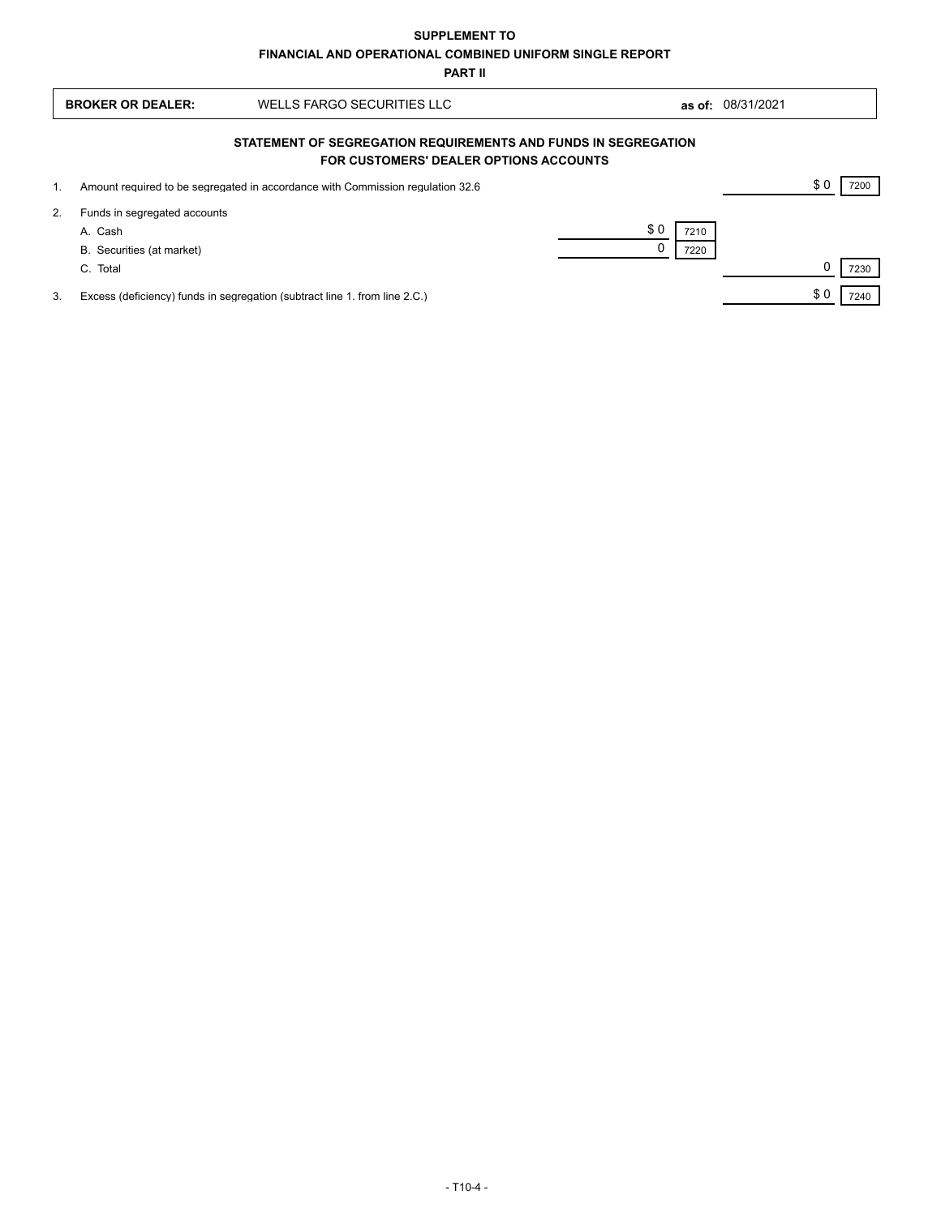|    | <b>BROKER OR DEALER:</b>                                                                                 | WELLS FARGO SECURITIES LLC                                                     |                     | as of: 08/31/2021 |  |      |
|----|----------------------------------------------------------------------------------------------------------|--------------------------------------------------------------------------------|---------------------|-------------------|--|------|
|    | STATEMENT OF SEGREGATION REQUIREMENTS AND FUNDS IN SEGREGATION<br>FOR CUSTOMERS' DEALER OPTIONS ACCOUNTS |                                                                                |                     |                   |  |      |
| 1. |                                                                                                          | Amount required to be segregated in accordance with Commission regulation 32.6 |                     |                   |  | 7200 |
| 2. | Funds in segregated accounts<br>A. Cash<br>B. Securities (at market)<br>C. Total                         |                                                                                | \$0<br>7210<br>7220 |                   |  | 7230 |
| 3. |                                                                                                          | Excess (deficiency) funds in segregation (subtract line 1. from line 2.C.)     |                     |                   |  | 7240 |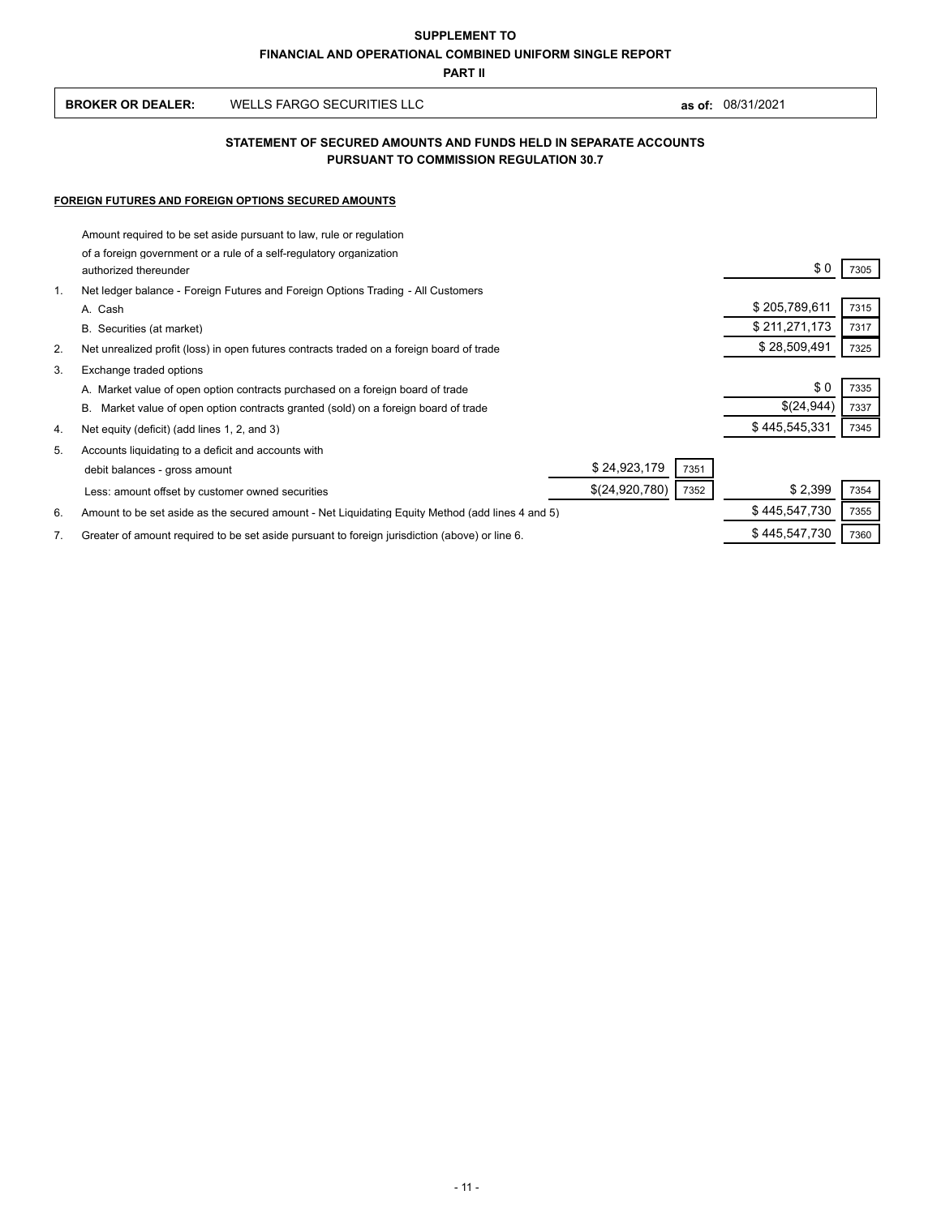| <b>BROKER OR DEALER:</b> | WELLS FARGO SECURITIES LLC | 08/31/2021<br>as of: |
|--------------------------|----------------------------|----------------------|
|--------------------------|----------------------------|----------------------|

## **PURSUANT TO COMMISSION REGULATION 30.7 STATEMENT OF SECURED AMOUNTS AND FUNDS HELD IN SEPARATE ACCOUNTS**

### **FOREIGN FUTURES AND FOREIGN OPTIONS SECURED AMOUNTS**

 $\overline{1}$ 

|    | Amount required to be set aside pursuant to law, rule or regulation                              |               |      |
|----|--------------------------------------------------------------------------------------------------|---------------|------|
|    | of a foreign government or a rule of a self-regulatory organization<br>authorized thereunder     | \$0           | 7305 |
| 1. | Net ledger balance - Foreign Futures and Foreign Options Trading - All Customers                 |               |      |
|    | A. Cash                                                                                          | \$205,789,611 | 7315 |
|    | B. Securities (at market)                                                                        | \$211,271,173 | 7317 |
| 2. | Net unrealized profit (loss) in open futures contracts traded on a foreign board of trade        | \$28,509,491  | 7325 |
| 3. | Exchange traded options                                                                          |               |      |
|    | A. Market value of open option contracts purchased on a foreign board of trade                   | \$0           | 7335 |
|    | В.<br>Market value of open option contracts granted (sold) on a foreign board of trade           | \$(24,944)    | 7337 |
| 4. | Net equity (deficit) (add lines 1, 2, and 3)                                                     | \$445,545,331 | 7345 |
| 5. | Accounts liquidating to a deficit and accounts with                                              |               |      |
|    | \$24,923,179<br>7351<br>debit balances - gross amount                                            |               |      |
|    | \$(24,920,780)<br>7352<br>Less: amount offset by customer owned securities                       | \$2,399       | 7354 |
| 6. | Amount to be set aside as the secured amount - Net Liquidating Equity Method (add lines 4 and 5) | \$445,547,730 | 7355 |
| 7. | Greater of amount required to be set aside pursuant to foreign jurisdiction (above) or line 6.   | \$445,547,730 | 7360 |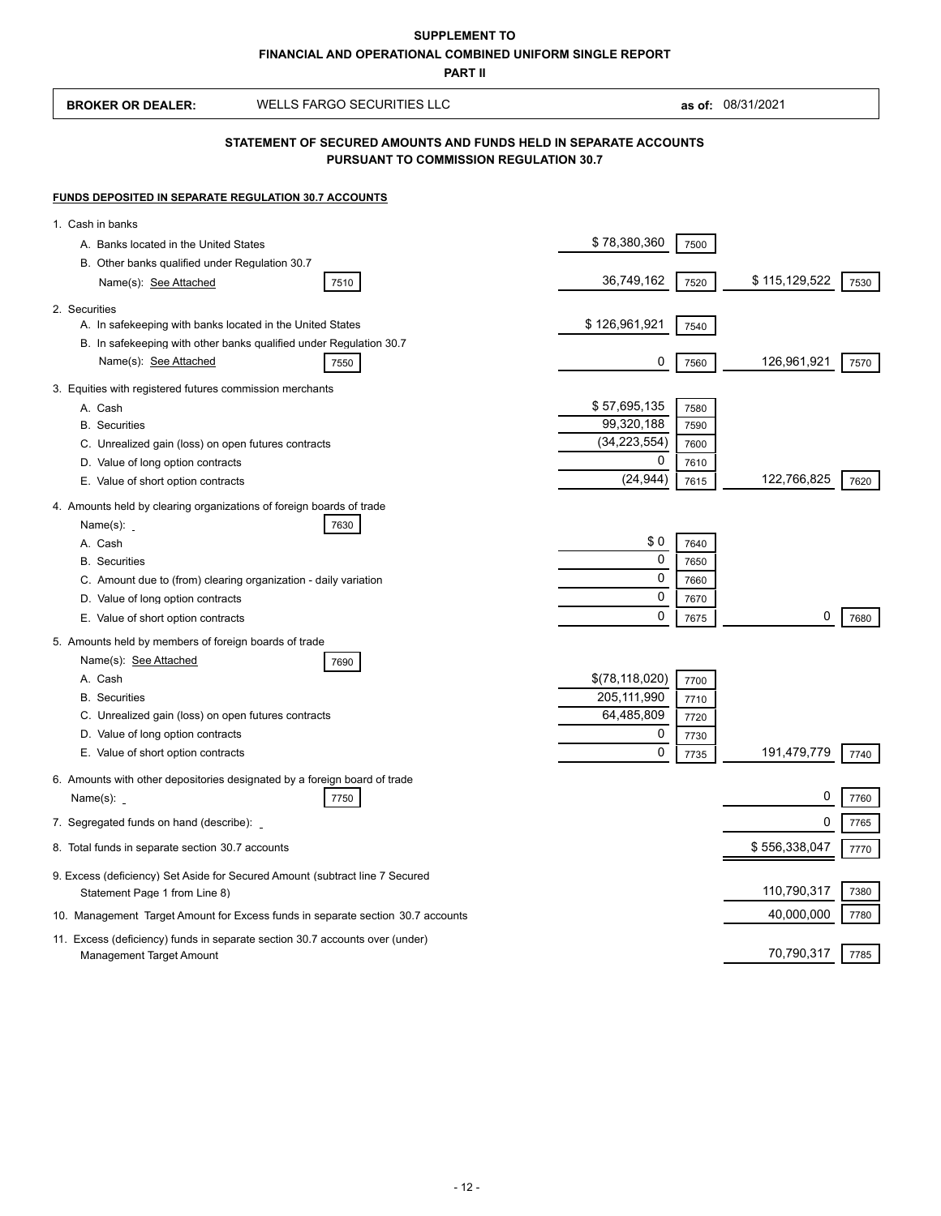# **FINANCIAL AND OPERATIONAL COMBINED UNIFORM SINGLE REPORT SUPPLEMENT TO**

**PART II**

| <b>BROKER OR DEALER:</b>                                                    | <b>WELLS FARGO SECURITIES LLC</b>                                                                                 |                             |              | as of: 08/31/2021 |      |
|-----------------------------------------------------------------------------|-------------------------------------------------------------------------------------------------------------------|-----------------------------|--------------|-------------------|------|
|                                                                             | STATEMENT OF SECURED AMOUNTS AND FUNDS HELD IN SEPARATE ACCOUNTS<br><b>PURSUANT TO COMMISSION REGULATION 30.7</b> |                             |              |                   |      |
| <b>FUNDS DEPOSITED IN SEPARATE REGULATION 30.7 ACCOUNTS</b>                 |                                                                                                                   |                             |              |                   |      |
| 1. Cash in banks                                                            |                                                                                                                   |                             |              |                   |      |
| A. Banks located in the United States                                       |                                                                                                                   | \$78,380,360                | 7500         |                   |      |
| B. Other banks qualified under Regulation 30.7                              |                                                                                                                   |                             |              |                   |      |
| Name(s): See Attached                                                       | 7510                                                                                                              | 36,749,162                  | 7520         | \$115,129,522     | 7530 |
| 2. Securities                                                               |                                                                                                                   |                             |              |                   |      |
| A. In safekeeping with banks located in the United States                   | B. In safekeeping with other banks qualified under Regulation 30.7                                                | \$126,961,921               | 7540         |                   |      |
| Name(s): See Attached                                                       | 7550                                                                                                              | 0                           | 7560         | 126,961,921       | 7570 |
| 3. Equities with registered futures commission merchants                    |                                                                                                                   |                             |              |                   |      |
| A. Cash                                                                     |                                                                                                                   | \$57,695,135                | 7580         |                   |      |
| <b>B.</b> Securities                                                        |                                                                                                                   | 99,320,188                  | 7590         |                   |      |
| C. Unrealized gain (loss) on open futures contracts                         |                                                                                                                   | (34, 223, 554)              | 7600         |                   |      |
| D. Value of long option contracts                                           |                                                                                                                   | 0<br>(24, 944)              | 7610         | 122,766,825       |      |
| E. Value of short option contracts                                          |                                                                                                                   |                             | 7615         |                   | 7620 |
| 4. Amounts held by clearing organizations of foreign boards of trade        | 7630                                                                                                              |                             |              |                   |      |
| Name $(s)$ : _<br>A. Cash                                                   |                                                                                                                   | \$0                         | 7640         |                   |      |
| <b>B.</b> Securities                                                        |                                                                                                                   | 0                           | 7650         |                   |      |
|                                                                             | C. Amount due to (from) clearing organization - daily variation                                                   | 0                           | 7660         |                   |      |
| D. Value of long option contracts                                           |                                                                                                                   | 0                           | 7670         |                   |      |
| E. Value of short option contracts                                          |                                                                                                                   | 0                           | 7675         | 0                 | 7680 |
| 5. Amounts held by members of foreign boards of trade                       |                                                                                                                   |                             |              |                   |      |
| Name(s): See Attached                                                       | 7690                                                                                                              |                             |              |                   |      |
| A. Cash                                                                     |                                                                                                                   | \$(78, 118, 020)            | 7700         |                   |      |
| <b>B.</b> Securities<br>C. Unrealized gain (loss) on open futures contracts |                                                                                                                   | 205, 111, 990<br>64,485,809 | 7710         |                   |      |
| D. Value of long option contracts                                           |                                                                                                                   | 0                           | 7720<br>7730 |                   |      |
| E. Value of short option contracts                                          |                                                                                                                   | 0                           | 7735         | 191,479,779       | 7740 |
|                                                                             | 6. Amounts with other depositories designated by a foreign board of trade                                         |                             |              |                   |      |
| Name(s): $\overline{\phantom{a}}$                                           | 7750                                                                                                              |                             |              | 0                 | 7760 |
| 7. Segregated funds on hand (describe):                                     |                                                                                                                   |                             |              | 0                 | 7765 |
| 8. Total funds in separate section 30.7 accounts                            |                                                                                                                   |                             |              | \$556,338,047     | 7770 |
|                                                                             | 9. Excess (deficiency) Set Aside for Secured Amount (subtract line 7 Secured                                      |                             |              |                   |      |
| Statement Page 1 from Line 8)                                               |                                                                                                                   |                             |              | 110,790,317       | 7380 |
|                                                                             | 10. Management Target Amount for Excess funds in separate section 30.7 accounts                                   |                             |              | 40,000,000        | 7780 |
|                                                                             | 11. Excess (deficiency) funds in separate section 30.7 accounts over (under)                                      |                             |              |                   |      |
| Management Target Amount                                                    |                                                                                                                   |                             |              | 70,790,317        | 7785 |